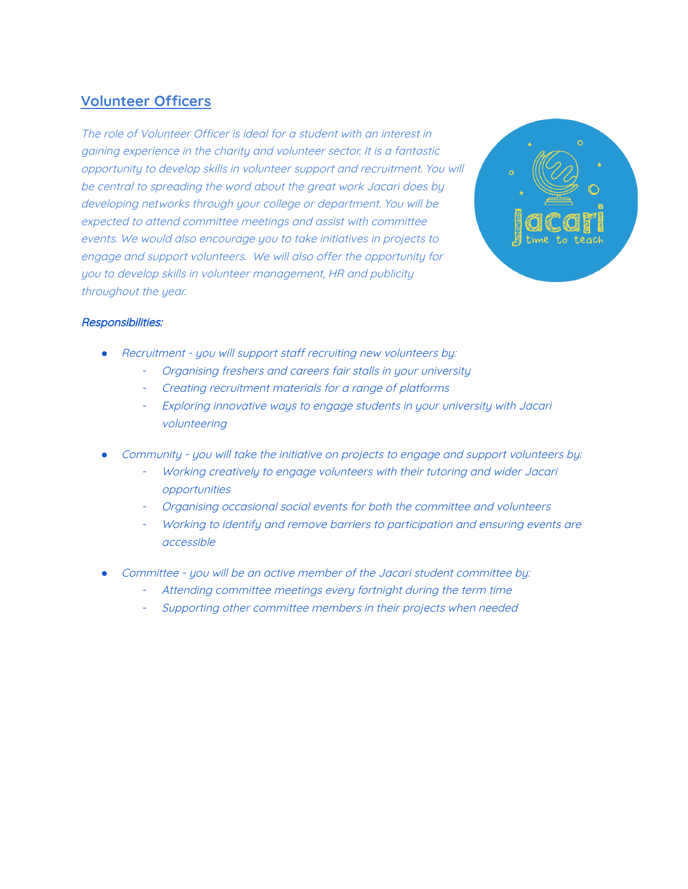# **Volunteer Officers**

The role of Volunteer Officer is ideal for a student with an interest in gaining experience in the charity and volunteer sector. It is <sup>a</sup> fantastic opportunity to develop skills in volunteer support and recruitment. You will be central to spreading the word about the great work Jacari does by developing networks through your college or department. You will be expected to attend committee meetings and assist with committee events. We would also encourage you to take initiatives in projects to engage and support volunteers. We will also offer the opportunity for you to develop skills in volunteer management, HR and publicity throughout the year.



#### Responsibilities:

- *●* Recruitment you will support staff recruiting new volunteers by:
	- Organising freshers and careers fair stalls in your university
	- Creating recruitment materials for <sup>a</sup> range of platforms
	- Exploring innovative ways to engage students in your university with Jacari volunteering
- Community you will take the initiative on projects to engage and support volunteers by:
	- Working creatively to engage volunteers with their tutoring and wider Jacari opportunities
	- Organising occasional social events for both the committee and volunteers
	- Working to identify and remove barriers to participation and ensuring events are accessible
- Committee you will be an active member of the Jacari student committee by:
	- Attending committee meetings every fortnight during the term time
	- Supporting other committee members in their projects when needed